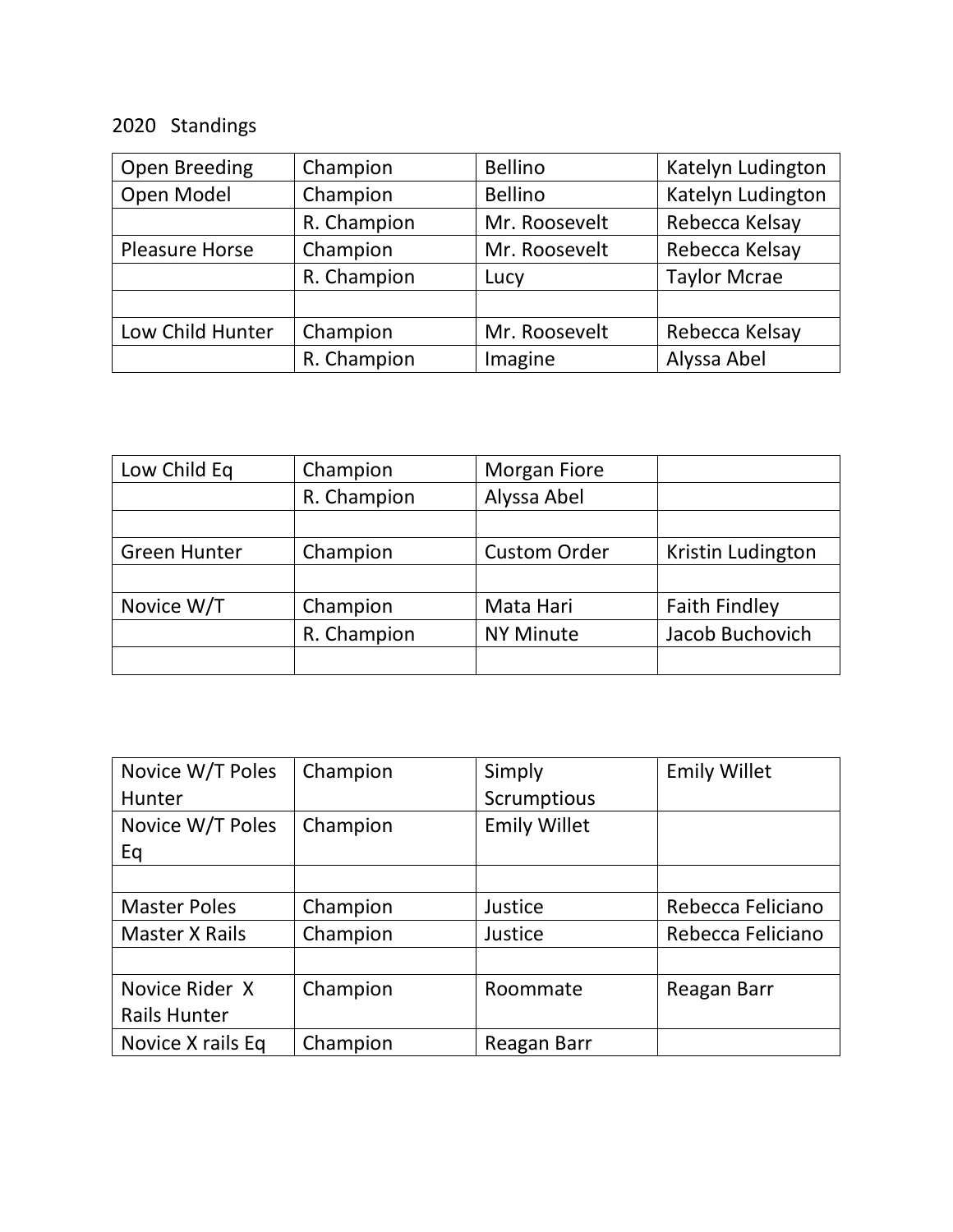## 2020 Standings

| Open Breeding    | Champion    | <b>Bellino</b> | Katelyn Ludington   |
|------------------|-------------|----------------|---------------------|
| Open Model       | Champion    | <b>Bellino</b> | Katelyn Ludington   |
|                  | R. Champion | Mr. Roosevelt  | Rebecca Kelsay      |
| Pleasure Horse   | Champion    | Mr. Roosevelt  | Rebecca Kelsay      |
|                  | R. Champion | Lucy           | <b>Taylor Mcrae</b> |
|                  |             |                |                     |
| Low Child Hunter | Champion    | Mr. Roosevelt  | Rebecca Kelsay      |
|                  | R. Champion | Imagine        | Alyssa Abel         |

| Low Child Eq        | Champion    | <b>Morgan Fiore</b> |                      |
|---------------------|-------------|---------------------|----------------------|
|                     | R. Champion | Alyssa Abel         |                      |
|                     |             |                     |                      |
| <b>Green Hunter</b> | Champion    | <b>Custom Order</b> | Kristin Ludington    |
|                     |             |                     |                      |
| Novice W/T          | Champion    | Mata Hari           | <b>Faith Findley</b> |
|                     | R. Champion | <b>NY Minute</b>    | Jacob Buchovich      |
|                     |             |                     |                      |

| Novice W/T Poles      | Champion | Simply              | <b>Emily Willet</b> |
|-----------------------|----------|---------------------|---------------------|
| Hunter                |          | Scrumptious         |                     |
| Novice W/T Poles      | Champion | <b>Emily Willet</b> |                     |
| Eq                    |          |                     |                     |
|                       |          |                     |                     |
| <b>Master Poles</b>   | Champion | Justice             | Rebecca Feliciano   |
| <b>Master X Rails</b> | Champion | Justice             | Rebecca Feliciano   |
|                       |          |                     |                     |
| Novice Rider X        | Champion | Roommate            | Reagan Barr         |
| <b>Rails Hunter</b>   |          |                     |                     |
| Novice X rails Eq     | Champion | Reagan Barr         |                     |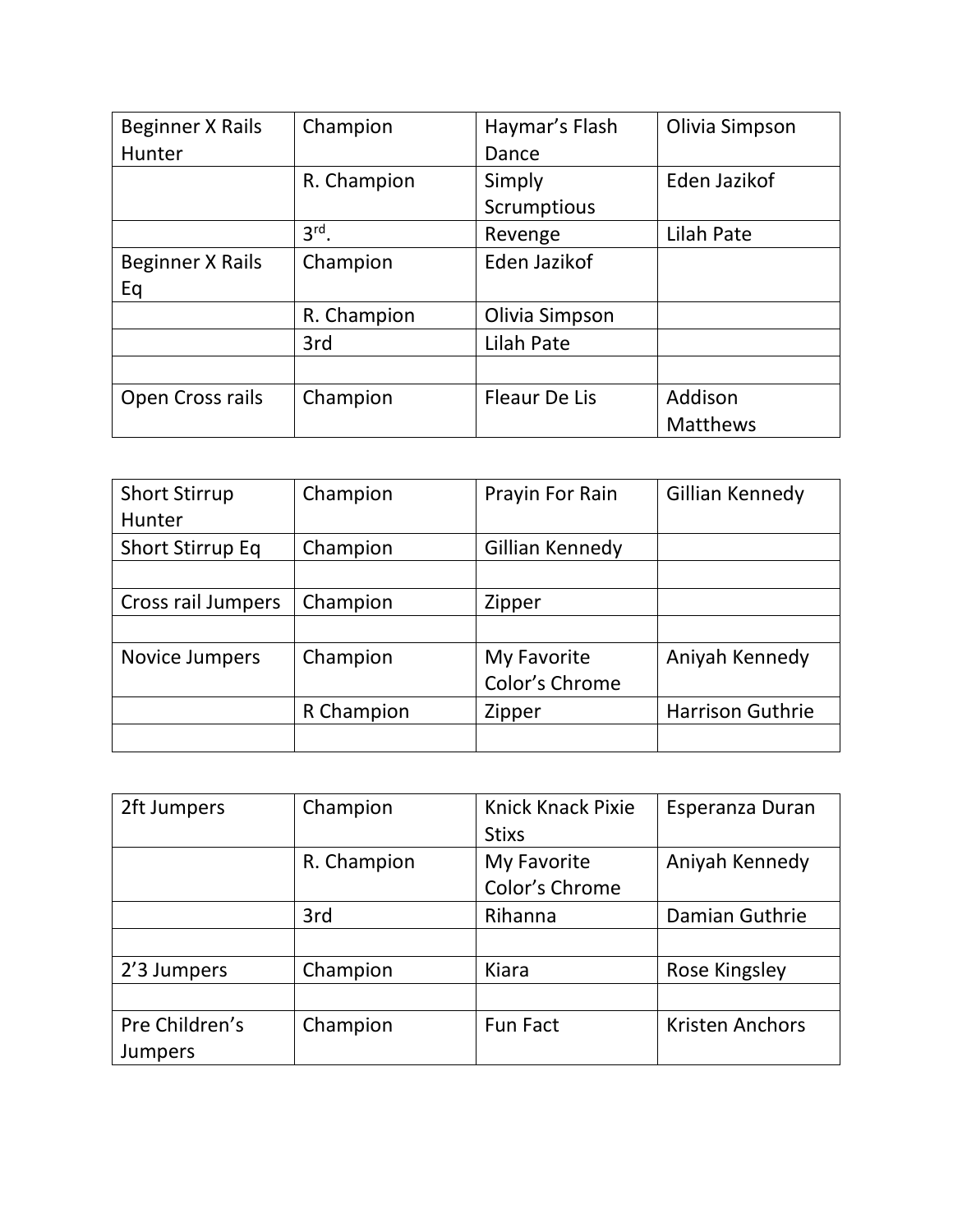| Beginner X Rails | Champion    | Haymar's Flash       | Olivia Simpson  |
|------------------|-------------|----------------------|-----------------|
| Hunter           |             | Dance                |                 |
|                  | R. Champion | Simply               | Eden Jazikof    |
|                  |             | Scrumptious          |                 |
|                  | $3rd$ .     | Revenge              | Lilah Pate      |
| Beginner X Rails | Champion    | Eden Jazikof         |                 |
| Eq               |             |                      |                 |
|                  | R. Champion | Olivia Simpson       |                 |
|                  | 3rd         | Lilah Pate           |                 |
|                  |             |                      |                 |
| Open Cross rails | Champion    | <b>Fleaur De Lis</b> | Addison         |
|                  |             |                      | <b>Matthews</b> |

| <b>Short Stirrup</b>    | Champion   | Prayin For Rain | Gillian Kennedy         |
|-------------------------|------------|-----------------|-------------------------|
| <b>Hunter</b>           |            |                 |                         |
| <b>Short Stirrup Eq</b> | Champion   | Gillian Kennedy |                         |
|                         |            |                 |                         |
| Cross rail Jumpers      | Champion   | Zipper          |                         |
|                         |            |                 |                         |
| Novice Jumpers          | Champion   | My Favorite     | Aniyah Kennedy          |
|                         |            | Color's Chrome  |                         |
|                         | R Champion | Zipper          | <b>Harrison Guthrie</b> |
|                         |            |                 |                         |

| 2ft Jumpers    | Champion    | Knick Knack Pixie | Esperanza Duran        |
|----------------|-------------|-------------------|------------------------|
|                |             | <b>Stixs</b>      |                        |
|                | R. Champion | My Favorite       | Aniyah Kennedy         |
|                |             | Color's Chrome    |                        |
|                | 3rd         | Rihanna           | Damian Guthrie         |
|                |             |                   |                        |
| 2'3 Jumpers    | Champion    | Kiara             | Rose Kingsley          |
|                |             |                   |                        |
| Pre Children's | Champion    | <b>Fun Fact</b>   | <b>Kristen Anchors</b> |
| <b>Jumpers</b> |             |                   |                        |